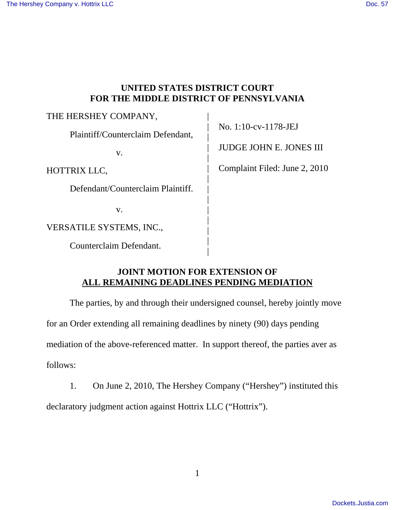## **UNITED STATES DISTRICT COURT FOR THE MIDDLE DISTRICT OF PENNSYLVANIA**

| THE HERSHEY COMPANY,              |                 |
|-----------------------------------|-----------------|
| Plaintiff/Counterclaim Defendant, | No. $1:10-c$    |
| V.                                | <b>JUDGE JC</b> |
| HOTTRIX LLC,                      | Complaint       |
| Defendant/Counterclaim Plaintiff. |                 |
| V.                                |                 |
| VERSATILE SYSTEMS, INC.,          |                 |
| Counterclaim Defendant.           |                 |

v-1178-JEJ

HN E. JONES III

Filed: June 2,  $2010$ 

# **JOINT MOTION FOR EXTENSION OF ALL REMAINING DEADLINES PENDING MEDIATION**

|

 The parties, by and through their undersigned counsel, hereby jointly move for an Order extending all remaining deadlines by ninety (90) days pending mediation of the above-referenced matter. In support thereof, the parties aver as follows:

1. On June 2, 2010, The Hershey Company ("Hershey") instituted this

declaratory judgment action against Hottrix LLC ("Hottrix").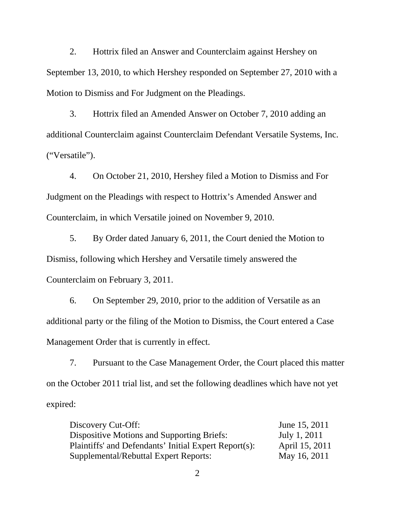2. Hottrix filed an Answer and Counterclaim against Hershey on September 13, 2010, to which Hershey responded on September 27, 2010 with a Motion to Dismiss and For Judgment on the Pleadings.

 3. Hottrix filed an Amended Answer on October 7, 2010 adding an additional Counterclaim against Counterclaim Defendant Versatile Systems, Inc. ("Versatile").

 4. On October 21, 2010, Hershey filed a Motion to Dismiss and For Judgment on the Pleadings with respect to Hottrix's Amended Answer and Counterclaim, in which Versatile joined on November 9, 2010.

 5. By Order dated January 6, 2011, the Court denied the Motion to Dismiss, following which Hershey and Versatile timely answered the Counterclaim on February 3, 2011.

 6. On September 29, 2010, prior to the addition of Versatile as an additional party or the filing of the Motion to Dismiss, the Court entered a Case Management Order that is currently in effect.

 7. Pursuant to the Case Management Order, the Court placed this matter on the October 2011 trial list, and set the following deadlines which have not yet expired:

Discovery Cut-Off: June 15, 2011 Dispositive Motions and Supporting Briefs: July 1, 2011 Plaintiffs' and Defendants' Initial Expert Report(s): April 15, 2011 Supplemental/Rebuttal Expert Reports: May 16, 2011

2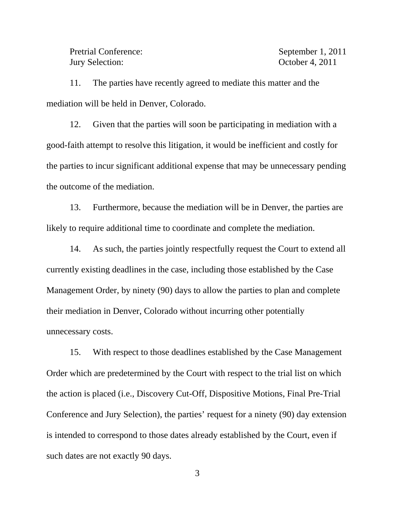Pretrial Conference: September 1, 2011 Jury Selection: October 4, 2011

 11. The parties have recently agreed to mediate this matter and the mediation will be held in Denver, Colorado.

 12. Given that the parties will soon be participating in mediation with a good-faith attempt to resolve this litigation, it would be inefficient and costly for the parties to incur significant additional expense that may be unnecessary pending the outcome of the mediation.

 13. Furthermore, because the mediation will be in Denver, the parties are likely to require additional time to coordinate and complete the mediation.

 14. As such, the parties jointly respectfully request the Court to extend all currently existing deadlines in the case, including those established by the Case Management Order, by ninety (90) days to allow the parties to plan and complete their mediation in Denver, Colorado without incurring other potentially unnecessary costs.

 15. With respect to those deadlines established by the Case Management Order which are predetermined by the Court with respect to the trial list on which the action is placed (i.e., Discovery Cut-Off, Dispositive Motions, Final Pre-Trial Conference and Jury Selection), the parties' request for a ninety (90) day extension is intended to correspond to those dates already established by the Court, even if such dates are not exactly 90 days.

3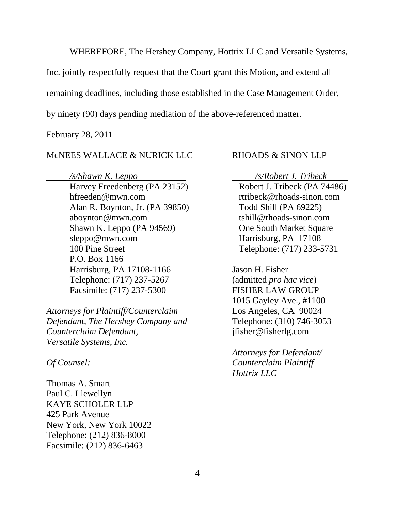WHEREFORE, The Hershey Company, Hottrix LLC and Versatile Systems,

Inc. jointly respectfully request that the Court grant this Motion, and extend all

remaining deadlines, including those established in the Case Management Order,

by ninety (90) days pending mediation of the above-referenced matter.

February 28, 2011

### McNEES WALLACE & NURICK LLC RHOADS & SINON LLP

*/s/Shawn K. Leppo /s/Robert J. Tribeck*  Harvey Freedenberg (PA 23152) Robert J. Tribeck (PA 74486) hfreeden@mwn.com rtribeck@rhoads-sinon.com Alan R. Boynton, Jr. (PA 39850) Todd Shill (PA 69225) aboynton@mwn.com tshill@rhoads-sinon.com Shawn K. Leppo (PA 94569) One South Market Square sleppo@mwn.com Harrisburg, PA 17108 100 Pine Street Telephone: (717) 233-5731 P.O. Box 1166 Harrisburg, PA 17108-1166 Jason H. Fisher Telephone: (717) 237-5267 (admitted *pro hac vice*) Facsimile: (717) 237-5300 FISHER LAW GROUP

*Attorneys for Plaintiff/Counterclaim* Los Angeles, CA 90024 *Defendant, The Hershey Company and* Telephone: (310) 746-3053 *Counterclaim Defendant,* jfisher@fisherlg.com *Versatile Systems, Inc.* 

Thomas A. Smart Paul C. Llewellyn KAYE SCHOLER LLP 425 Park Avenue New York, New York 10022 Telephone: (212) 836-8000 Facsimile: (212) 836-6463

1015 Gayley Ave., #1100

 *Attorneys for Defendant/ Of Counsel: Counterclaim Plaintiff Hottrix LLC*